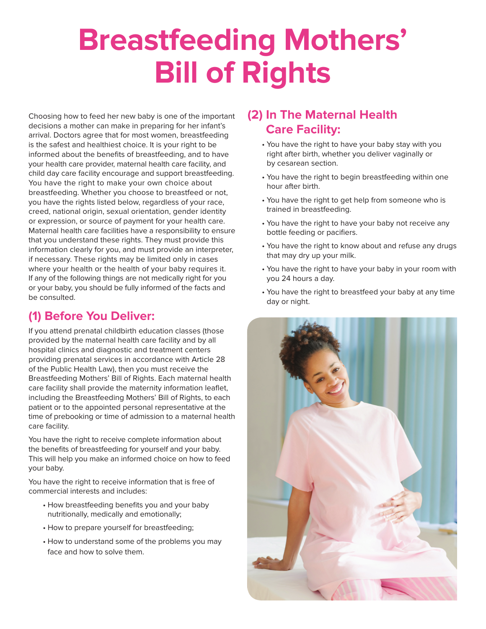## **Breastfeeding Mothers' Bill of Rights**

Choosing how to feed her new baby is one of the important decisions a mother can make in preparing for her infant's arrival. Doctors agree that for most women, breastfeeding is the safest and healthiest choice. It is your right to be informed about the benefits of breastfeeding, and to have your health care provider, maternal health care facility, and child day care facility encourage and support breastfeeding. You have the right to make your own choice about breastfeeding. Whether you choose to breastfeed or not, you have the rights listed below, regardless of your race, creed, national origin, sexual orientation, gender identity or expression, or source of payment for your health care. Maternal health care facilities have a responsibility to ensure that you understand these rights. They must provide this information clearly for you, and must provide an interpreter, if necessary. These rights may be limited only in cases where your health or the health of your baby requires it. If any of the following things are not medically right for you or your baby, you should be fully informed of the facts and be consulted.

## **(1) Before You Deliver:**

If you attend prenatal childbirth education classes (those provided by the maternal health care facility and by all hospital clinics and diagnostic and treatment centers providing prenatal services in accordance with Article 28 of the Public Health Law), then you must receive the Breastfeeding Mothers' Bill of Rights. Each maternal health care facility shall provide the maternity information leaflet, including the Breastfeeding Mothers' Bill of Rights, to each patient or to the appointed personal representative at the time of prebooking or time of admission to a maternal health care facility.

You have the right to receive complete information about the benefits of breastfeeding for yourself and your baby. This will help you make an informed choice on how to feed your baby.

You have the right to receive information that is free of commercial interests and includes:

- How breastfeeding benefits you and your baby nutritionally, medically and emotionally;
- How to prepare yourself for breastfeeding;
- How to understand some of the problems you may face and how to solve them.

## **(2) In The Maternal Health Care Facility:**

- You have the right to have your baby stay with you right after birth, whether you deliver vaginally or by cesarean section.
- You have the right to begin breastfeeding within one hour after birth.
- You have the right to get help from someone who is trained in breastfeeding.
- You have the right to have your baby not receive any bottle feeding or pacifiers.
- You have the right to know about and refuse any drugs that may dry up your milk.
- You have the right to have your baby in your room with you 24 hours a day.
- You have the right to breastfeed your baby at any time day or night.